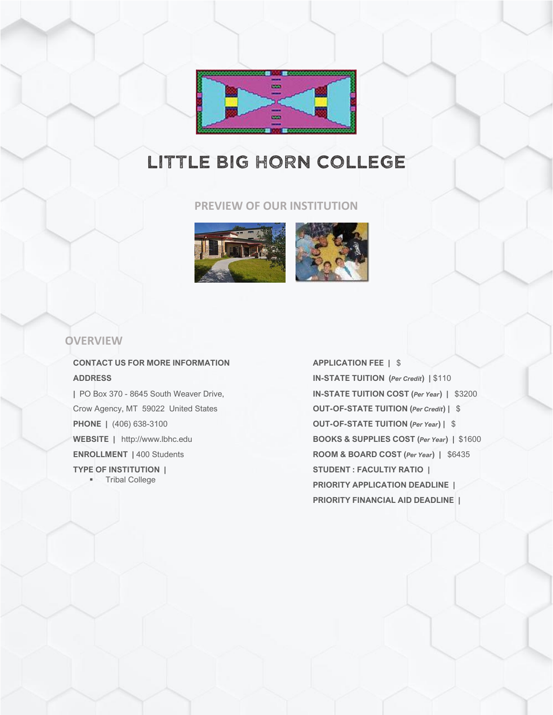

# LITTLE BIG HORN COLLEGE

### **PREVIEW OF OUR INSTITUTION**



### **OVERVIEW**

### **CONTACT US FOR MORE INFORMATION ADDRESS**

**|** PO Box 370 - 8645 South Weaver Drive, Crow Agency, MT 59022 United States **PHONE |** (406) 638-3100 **WEBSITE |** http://www.lbhc.edu **ENROLLMENT |** 400 Students **TYPE OF INSTITUTION |**

▪ Tribal College

**APPLICATION FEE |** \$ **IN-STATE TUITION (***Per Credit***) |** \$110 **IN-STATE TUITION COST (***Per Year***) |** \$3200 **OUT-OF-STATE TUITION (***Per Credit***) |** \$ **OUT-OF-STATE TUITION (***Per Year***) |** \$ **BOOKS & SUPPLIES COST (***Per Year***) |** \$1600 **ROOM & BOARD COST (***Per Year***) |** \$6435 **STUDENT : FACULTIY RATIO | PRIORITY APPLICATION DEADLINE | PRIORITY FINANCIAL AID DEADLINE |**